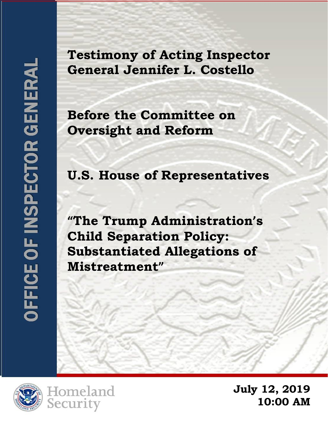**Testimony of Acting Inspector General Jennifer L. Costello**

**Before the Committee on Oversight and Reform**

**U.S. House of Representatives**

**"The Trump Administration's Child Separation Policy: Substantiated Allegations of Mistreatment"**





**July 12, 2019 10:00 AM**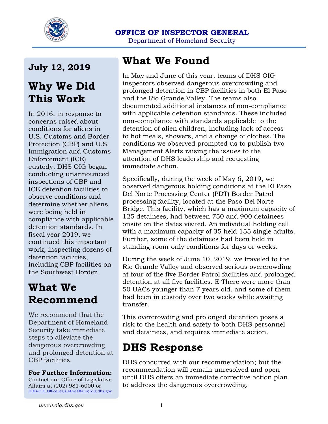

### **OFFICE OF INSPECTOR GENERAL**

Department of Homeland Security

### **July 12, 2019**

# **Why We Did This Work**

In 2016, in response to concerns raised about conditions for aliens in U.S. Customs and Border Protection (CBP) and U.S. Immigration and Customs Enforcement (ICE) custody, DHS OIG began conducting unannounced inspections of CBP and ICE detention facilities to observe conditions and determine whether aliens were being held in compliance with applicable detention standards. In fiscal year 2019, we continued this important work, inspecting dozens of detention facilities, including CBP facilities on the Southwest Border.

### **What We Recommend**

We recommend that the Department of Homeland Security take immediate steps to alleviate the dangerous overcrowding and prolonged detention at CBP facilities.

### **For Further Information:**

Contact our Office of Legislative Affairs at (202) 981-6000 or [DHS-OIG.OfficeLegislativeAffairs@oig.dhs.gov](mailto:DHS-OIG.OfficeLegislativeAffairs@oig.dhs.gov)

# **What We Found**

In May and June of this year, teams of DHS OIG inspectors observed dangerous overcrowding and prolonged detention in CBP facilities in both El Paso and the Rio Grande Valley. The teams also documented additional instances of non-compliance with applicable detention standards. These included non-compliance with standards applicable to the detention of alien children, including lack of access to hot meals, showers, and a change of clothes. The conditions we observed prompted us to publish two Management Alerts raising the issues to the attention of DHS leadership and requesting immediate action.

Specifically, during the week of May 6, 2019, we observed dangerous holding conditions at the El Paso Del Norte Processing Center (PDT) Border Patrol processing facility, located at the Paso Del Norte Bridge. This facility, which has a maximum capacity of 125 detainees, had between 750 and 900 detainees onsite on the dates visited. An individual holding cell with a maximum capacity of 35 held 155 single adults. Further, some of the detainees had been held in standing-room-only conditions for days or weeks.

During the week of June 10, 2019, we traveled to the Rio Grande Valley and observed serious overcrowding at four of the five Border Patrol facilities and prolonged detention at all five facilities. E There were more than 50 UACs younger than 7 years old, and some of them had been in custody over two weeks while awaiting transfer.

This overcrowding and prolonged detention poses a risk to the health and safety to both DHS personnel and detainees, and requires immediate action.

# **DHS Response**

DHS concurred with our recommendation; but the recommendation will remain unresolved and open until DHS offers an immediate corrective action plan to address the dangerous overcrowding.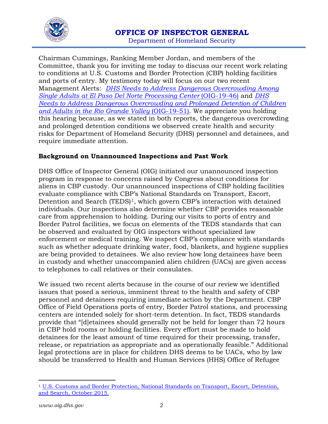

Chairman Cummings, Ranking Member Jordan, and members of the Committee, thank you for inviting me today to discuss our recent work relating to conditions at U.S. Customs and Border Protection (CBP) holding facilities and ports of entry. My testimony today will focus on our two recent Management Alerts: *[DHS Needs to Address Dangerous Overcrowding Among](https://www.oig.dhs.gov/sites/default/files/assets/Mga/2019/oig-19-46-may19-mgmtalert.pdf)  [Single Adults at El Paso Del Norte Processing Center](https://www.oig.dhs.gov/sites/default/files/assets/Mga/2019/oig-19-46-may19-mgmtalert.pdf)* (OIG-19-46) and *[DHS](https://www.oig.dhs.gov/sites/default/files/assets/Mga/2019/oig-19-51-jul19.pdf)  [Needs to Address Dangerous Overcrowding and Prolonged Detention of Children](https://www.oig.dhs.gov/sites/default/files/assets/Mga/2019/oig-19-51-jul19.pdf)  [and Adults in the Rio Grande Valley](https://www.oig.dhs.gov/sites/default/files/assets/Mga/2019/oig-19-51-jul19.pdf)* (OIG-19-51). We appreciate you holding this hearing because, as we stated in both reports, the dangerous overcrowding and prolonged detention conditions we observed create health and security risks for Department of Homeland Security (DHS) personnel and detainees, and require immediate attention.

#### **Background on Unannounced Inspections and Past Work**

DHS Office of Inspector General (OIG) initiated our unannounced inspection program in response to concerns raised by Congress about conditions for aliens in CBP custody. Our unannounced inspections of CBP holding facilities evaluate compliance with CBP's National Standards on Transport, Escort, Detention and Search (TEDS)<sup>[1](#page-2-0)</sup>, which govern CBP's interaction with detained individuals. Our inspections also determine whether CBP provides reasonable care from apprehension to holding. During our visits to ports of entry and Border Patrol facilities, we focus on elements of the TEDS standards that can be observed and evaluated by OIG inspectors without specialized law enforcement or medical training. We inspect CBP's compliance with standards such as whether adequate drinking water, food, blankets, and hygiene supplies are being provided to detainees. We also review how long detainees have been in custody and whether unaccompanied alien children (UACs) are given access to telephones to call relatives or their consulates.

We issued two recent alerts because in the course of our review we identified issues that posed a serious, imminent threat to the health and safety of CBP personnel and detainees requiring immediate action by the Department. CBP Office of Field Operations ports of entry, Border Patrol stations, and processing centers are intended solely for short-term detention. In fact, TEDS standards provide that "[d]etainees should generally not be held for longer than 72 hours in CBP hold rooms or holding facilities. Every effort must be made to hold detainees for the least amount of time required for their processing, transfer, release, or repatriation as appropriate and as operationally feasible." Additional legal protections are in place for children DHS deems to be UACs, who by law should be transferred to Health and Human Services (HHS) Office of Refugee

 $\overline{a}$ 

<span id="page-2-0"></span><sup>1</sup> [U.S. Customs and Border Protection, National Standards on Transport, Escort, Detention,](https://www.cbp.gov/sites/default/files/assets/documents/2017-Sep/CBP%20TEDS%20Policy%20Oct2015.pdf)  [and Search, October 2015.](https://www.cbp.gov/sites/default/files/assets/documents/2017-Sep/CBP%20TEDS%20Policy%20Oct2015.pdf)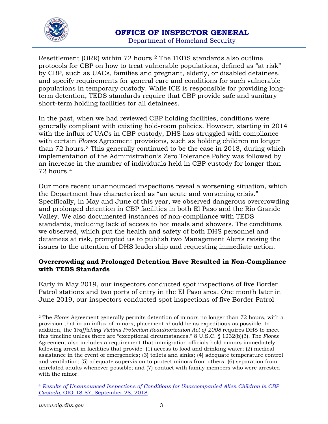

Resettlement (ORR) within 72 hours.[2](#page-3-0) The TEDS standards also outline protocols for CBP on how to treat vulnerable populations, defined as "at risk" by CBP, such as UACs, families and pregnant, elderly, or disabled detainees, and specify requirements for general care and conditions for such vulnerable populations in temporary custody. While ICE is responsible for providing longterm detention, TEDS standards require that CBP provide safe and sanitary short-term holding facilities for all detainees.

In the past, when we had reviewed CBP holding facilities, conditions were generally compliant with existing hold-room policies. However, starting in 2014 with the influx of UACs in CBP custody, DHS has struggled with compliance with certain *Flores* Agreement provisions, such as holding children no longer than 72 hours.[3](#page-3-1) This generally continued to be the case in 2018, during which implementation of the Administration's Zero Tolerance Policy was followed by an increase in the number of individuals held in CBP custody for longer than 72 hours.[4](#page-3-2)

Our more recent unannounced inspections reveal a worsening situation, which the Department has characterized as "an acute and worsening crisis." Specifically, in May and June of this year, we observed dangerous overcrowding and prolonged detention in CBP facilities in both El Paso and the Rio Grande Valley. We also documented instances of non-compliance with TEDS standards, including lack of access to hot meals and showers. The conditions we observed, which put the health and safety of both DHS personnel and detainees at risk, prompted us to publish two Management Alerts raising the issues to the attention of DHS leadership and requesting immediate action.

#### **Overcrowding and Prolonged Detention Have Resulted in Non-Compliance with TEDS Standards**

Early in May 2019, our inspectors conducted spot inspections of five Border Patrol stations and two ports of entry in the El Paso area. One month later in June 2019, our inspectors conducted spot inspections of five Border Patrol

 $\overline{a}$ 

<span id="page-3-0"></span><sup>2</sup> The *Flores* Agreement generally permits detention of minors no longer than 72 hours, with a provision that in an influx of minors, placement should be as expeditious as possible. In addition, the *Trafficking Victims Protection Reauthorization Act of 2008* requires DHS to meet this timeline unless there are "exceptional circumstances." 8 U.S.C. § 1232(b)(3). The *Flores* Agreement also includes a requirement that immigration officials hold minors immediately following arrest in facilities that provide: (1) access to food and drinking water; (2) medical assistance in the event of emergencies; (3) toilets and sinks; (4) adequate temperature control and ventilation; (5) adequate supervision to protect minors from others; (6) separation from unrelated adults whenever possible; and (7) contact with family members who were arrested with the minor.

<span id="page-3-2"></span><span id="page-3-1"></span><sup>4</sup> *[Results of Unannounced Inspections of Conditions for Unaccompanied Alien Children in CBP](https://www.oig.dhs.gov/sites/default/files/assets/2018-10/OIG-18-87-Sep18.pdf) Custody,* [OIG-18-87, September 28, 2018.](https://www.oig.dhs.gov/sites/default/files/assets/2018-10/OIG-18-87-Sep18.pdf)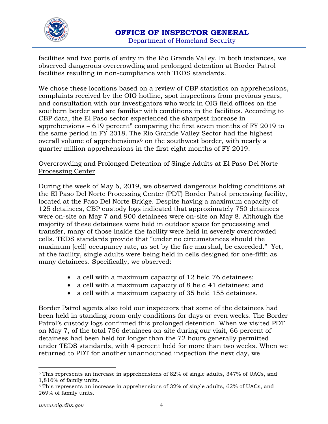

facilities and two ports of entry in the Rio Grande Valley. In both instances, we observed dangerous overcrowding and prolonged detention at Border Patrol facilities resulting in non-compliance with TEDS standards.

We chose these locations based on a review of CBP statistics on apprehensions, complaints received by the OIG hotline, spot inspections from previous years, and consultation with our investigators who work in OIG field offices on the southern border and are familiar with conditions in the facilities. According to CBP data, the El Paso sector experienced the sharpest increase in apprehensions  $-619$  percent<sup>[5](#page-4-0)</sup> comparing the first seven months of FY 2019 to the same period in FY 2018. The Rio Grande Valley Sector had the highest overall volume of apprehensions<sup>[6](#page-4-1)</sup> on the southwest border, with nearly a quarter million apprehensions in the first eight months of FY 2019.

#### Overcrowding and Prolonged Detention of Single Adults at El Paso Del Norte Processing Center

During the week of May 6, 2019, we observed dangerous holding conditions at the El Paso Del Norte Processing Center (PDT) Border Patrol processing facility, located at the Paso Del Norte Bridge. Despite having a maximum capacity of 125 detainees, CBP custody logs indicated that approximately 750 detainees were on-site on May 7 and 900 detainees were on-site on May 8. Although the majority of these detainees were held in outdoor space for processing and transfer, many of those inside the facility were held in severely overcrowded cells. TEDS standards provide that "under no circumstances should the maximum [cell] occupancy rate, as set by the fire marshal, be exceeded." Yet, at the facility, single adults were being held in cells designed for one-fifth as many detainees. Specifically, we observed:

- a cell with a maximum capacity of 12 held 76 detainees;
- a cell with a maximum capacity of 8 held 41 detainees; and
- a cell with a maximum capacity of 35 held 155 detainees.

Border Patrol agents also told our inspectors that some of the detainees had been held in standing-room-only conditions for days or even weeks. The Border Patrol's custody logs confirmed this prolonged detention. When we visited PDT on May 7, of the total 756 detainees on-site during our visit, 66 percent of detainees had been held for longer than the 72 hours generally permitted under TEDS standards, with 4 percent held for more than two weeks. When we returned to PDT for another unannounced inspection the next day, we

 $\overline{a}$ 

<span id="page-4-0"></span><sup>5</sup> This represents an increase in apprehensions of 82% of single adults, 347% of UACs, and 1,816% of family units.

<span id="page-4-1"></span> $6$  This represents an increase in apprehensions of 32% of single adults, 62% of UACs, and 269% of family units.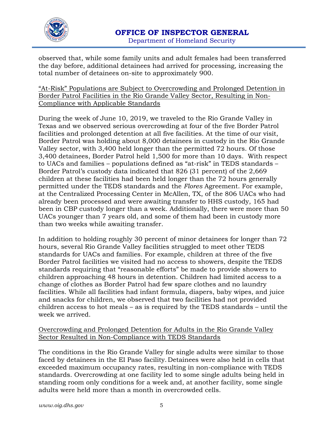

observed that, while some family units and adult females had been transferred the day before, additional detainees had arrived for processing, increasing the total number of detainees on-site to approximately 900.

"At-Risk" Populations are Subject to Overcrowding and Prolonged Detention in Border Patrol Facilities in the Rio Grande Valley Sector, Resulting in Non-Compliance with Applicable Standards

During the week of June 10, 2019, we traveled to the Rio Grande Valley in Texas and we observed serious overcrowding at four of the five Border Patrol facilities and prolonged detention at all five facilities. At the time of our visit, Border Patrol was holding about 8,000 detainees in custody in the Rio Grande Valley sector, with 3,400 held longer than the permitted 72 hours. Of those 3,400 detainees, Border Patrol held 1,500 for more than 10 days. With respect to UACs and families – populations defined as "at-risk" in TEDS standards – Border Patrol's custody data indicated that 826 (31 percent) of the 2,669 children at these facilities had been held longer than the 72 hours generally permitted under the TEDS standards and the *Flores* Agreement. For example, at the Centralized Processing Center in McAllen, TX, of the 806 UACs who had already been processed and were awaiting transfer to HHS custody, 165 had been in CBP custody longer than a week. Additionally, there were more than 50 UACs younger than 7 years old, and some of them had been in custody more than two weeks while awaiting transfer.

In addition to holding roughly 30 percent of minor detainees for longer than 72 hours, several Rio Grande Valley facilities struggled to meet other TEDS standards for UACs and families. For example, children at three of the five Border Patrol facilities we visited had no access to showers, despite the TEDS standards requiring that "reasonable efforts" be made to provide showers to children approaching 48 hours in detention. Children had limited access to a change of clothes as Border Patrol had few spare clothes and no laundry facilities. While all facilities had infant formula, diapers, baby wipes, and juice and snacks for children, we observed that two facilities had not provided children access to hot meals – as is required by the TEDS standards – until the week we arrived.

#### Overcrowding and Prolonged Detention for Adults in the Rio Grande Valley Sector Resulted in Non-Compliance with TEDS Standards

The conditions in the Rio Grande Valley for single adults were similar to those faced by detainees in the El Paso facility. Detainees were also held in cells that exceeded maximum occupancy rates, resulting in non-compliance with TEDS standards. Overcrowding at one facility led to some single adults being held in standing room only conditions for a week and, at another facility, some single adults were held more than a month in overcrowded cells.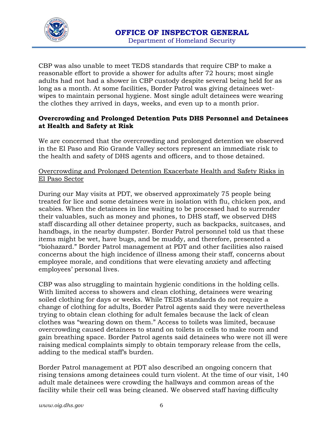

CBP was also unable to meet TEDS standards that require CBP to make a reasonable effort to provide a shower for adults after 72 hours; most single adults had not had a shower in CBP custody despite several being held for as long as a month. At some facilities, Border Patrol was giving detainees wetwipes to maintain personal hygiene. Most single adult detainees were wearing the clothes they arrived in days, weeks, and even up to a month prior.

#### **Overcrowding and Prolonged Detention Puts DHS Personnel and Detainees at Health and Safety at Risk**

We are concerned that the overcrowding and prolonged detention we observed in the El Paso and Rio Grande Valley sectors represent an immediate risk to the health and safety of DHS agents and officers, and to those detained.

#### Overcrowding and Prolonged Detention Exacerbate Health and Safety Risks in El Paso Sector

During our May visits at PDT, we observed approximately 75 people being treated for lice and some detainees were in isolation with flu, chicken pox, and scabies. When the detainees in line waiting to be processed had to surrender their valuables, such as money and phones, to DHS staff, we observed DHS staff discarding all other detainee property, such as backpacks, suitcases, and handbags, in the nearby dumpster. Border Patrol personnel told us that these items might be wet, have bugs, and be muddy, and therefore, presented a "biohazard." Border Patrol management at PDT and other facilities also raised concerns about the high incidence of illness among their staff, concerns about employee morale, and conditions that were elevating anxiety and affecting employees' personal lives.

CBP was also struggling to maintain hygienic conditions in the holding cells. With limited access to showers and clean clothing, detainees were wearing soiled clothing for days or weeks. While TEDS standards do not require a change of clothing for adults, Border Patrol agents said they were nevertheless trying to obtain clean clothing for adult females because the lack of clean clothes was "wearing down on them." Access to toilets was limited, because overcrowding caused detainees to stand on toilets in cells to make room and gain breathing space. Border Patrol agents said detainees who were not ill were raising medical complaints simply to obtain temporary release from the cells, adding to the medical staff's burden.

Border Patrol management at PDT also described an ongoing concern that rising tensions among detainees could turn violent. At the time of our visit, 140 adult male detainees were crowding the hallways and common areas of the facility while their cell was being cleaned. We observed staff having difficulty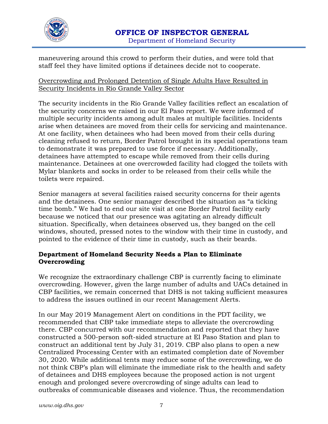

maneuvering around this crowd to perform their duties, and were told that staff feel they have limited options if detainees decide not to cooperate.

#### Overcrowding and Prolonged Detention of Single Adults Have Resulted in Security Incidents in Rio Grande Valley Sector

The security incidents in the Rio Grande Valley facilities reflect an escalation of the security concerns we raised in our El Paso report. We were informed of multiple security incidents among adult males at multiple facilities. Incidents arise when detainees are moved from their cells for servicing and maintenance. At one facility, when detainees who had been moved from their cells during cleaning refused to return, Border Patrol brought in its special operations team to demonstrate it was prepared to use force if necessary. Additionally, detainees have attempted to escape while removed from their cells during maintenance. Detainees at one overcrowded facility had clogged the toilets with Mylar blankets and socks in order to be released from their cells while the toilets were repaired.

Senior managers at several facilities raised security concerns for their agents and the detainees. One senior manager described the situation as "a ticking time bomb." We had to end our site visit at one Border Patrol facility early because we noticed that our presence was agitating an already difficult situation. Specifically, when detainees observed us, they banged on the cell windows, shouted, pressed notes to the window with their time in custody, and pointed to the evidence of their time in custody, such as their beards.

#### **Department of Homeland Security Needs a Plan to Eliminate Overcrowding**

We recognize the extraordinary challenge CBP is currently facing to eliminate overcrowding. However, given the large number of adults and UACs detained in CBP facilities, we remain concerned that DHS is not taking sufficient measures to address the issues outlined in our recent Management Alerts.

In our May 2019 Management Alert on conditions in the PDT facility, we recommended that CBP take immediate steps to alleviate the overcrowding there. CBP concurred with our recommendation and reported that they have constructed a 500-person soft-sided structure at El Paso Station and plan to construct an additional tent by July 31, 2019. CBP also plans to open a new Centralized Processing Center with an estimated completion date of November 30, 2020. While additional tents may reduce some of the overcrowding, we do not think CBP's plan will eliminate the immediate risk to the health and safety of detainees and DHS employees because the proposed action is not urgent enough and prolonged severe overcrowding of singe adults can lead to outbreaks of communicable diseases and violence. Thus, the recommendation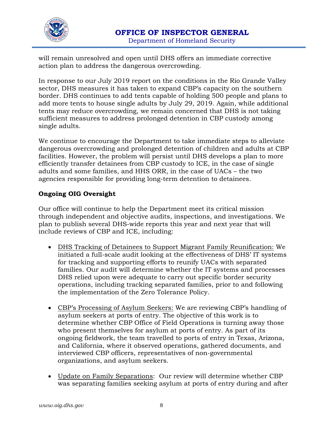

will remain unresolved and open until DHS offers an immediate corrective action plan to address the dangerous overcrowding.

In response to our July 2019 report on the conditions in the Rio Grande Valley sector, DHS measures it has taken to expand CBP's capacity on the southern border. DHS continues to add tents capable of holding 500 people and plans to add more tents to house single adults by July 29, 2019. Again, while additional tents may reduce overcrowding, we remain concerned that DHS is not taking sufficient measures to address prolonged detention in CBP custody among single adults.

We continue to encourage the Department to take immediate steps to alleviate dangerous overcrowding and prolonged detention of children and adults at CBP facilities. However, the problem will persist until DHS develops a plan to more efficiently transfer detainees from CBP custody to ICE, in the case of single adults and some families, and HHS ORR, in the case of UACs – the two agencies responsible for providing long-term detention to detainees.

#### **Ongoing OIG Oversight**

Our office will continue to help the Department meet its critical mission through independent and objective audits, inspections, and investigations. We plan to publish several DHS-wide reports this year and next year that will include reviews of CBP and ICE, including:

- DHS Tracking of Detainees to Support Migrant Family Reunification: We initiated a full-scale audit looking at the effectiveness of DHS' IT systems for tracking and supporting efforts to reunify UACs with separated families. Our audit will determine whether the IT systems and processes DHS relied upon were adequate to carry out specific border security operations, including tracking separated families, prior to and following the implementation of the Zero Tolerance Policy.
- CBP's Processing of Asylum Seekers: We are reviewing CBP's handling of asylum seekers at ports of entry. The objective of this work is to determine whether CBP Office of Field Operations is turning away those who present themselves for asylum at ports of entry. As part of its ongoing fieldwork, the team travelled to ports of entry in Texas, Arizona, and California, where it observed operations, gathered documents, and interviewed CBP officers, representatives of non-governmental organizations, and asylum seekers.
- Update on Family Separations: Our review will determine whether CBP was separating families seeking asylum at ports of entry during and after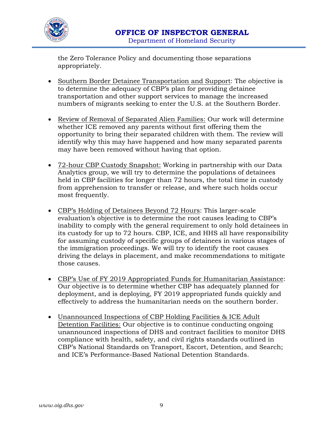

the Zero Tolerance Policy and documenting those separations appropriately.

- Southern Border Detainee Transportation and Support: The objective is to determine the adequacy of CBP's plan for providing detainee transportation and other support services to manage the increased numbers of migrants seeking to enter the U.S. at the Southern Border.
- Review of Removal of Separated Alien Families: Our work will determine whether ICE removed any parents without first offering them the opportunity to bring their separated children with them. The review will identify why this may have happened and how many separated parents may have been removed without having that option.
- 72-hour CBP Custody Snapshot: Working in partnership with our Data Analytics group, we will try to determine the populations of detainees held in CBP facilities for longer than 72 hours, the total time in custody from apprehension to transfer or release, and where such holds occur most frequently.
- CBP's Holding of Detainees Beyond 72 Hours: This larger-scale evaluation's objective is to determine the root causes leading to CBP's inability to comply with the general requirement to only hold detainees in its custody for up to 72 hours. CBP, ICE, and HHS all have responsibility for assuming custody of specific groups of detainees in various stages of the immigration proceedings. We will try to identify the root causes driving the delays in placement, and make recommendations to mitigate those causes.
- CBP's Use of FY 2019 Appropriated Funds for Humanitarian Assistance: Our objective is to determine whether CBP has adequately planned for deployment, and is deploying, FY 2019 appropriated funds quickly and effectively to address the humanitarian needs on the southern border.
- Unannounced Inspections of CBP Holding Facilities & ICE Adult Detention Facilities: Our objective is to continue conducting ongoing unannounced inspections of DHS and contract facilities to monitor DHS compliance with health, safety, and civil rights standards outlined in CBP's National Standards on Transport, Escort, Detention, and Search; and ICE's Performance-Based National Detention Standards.